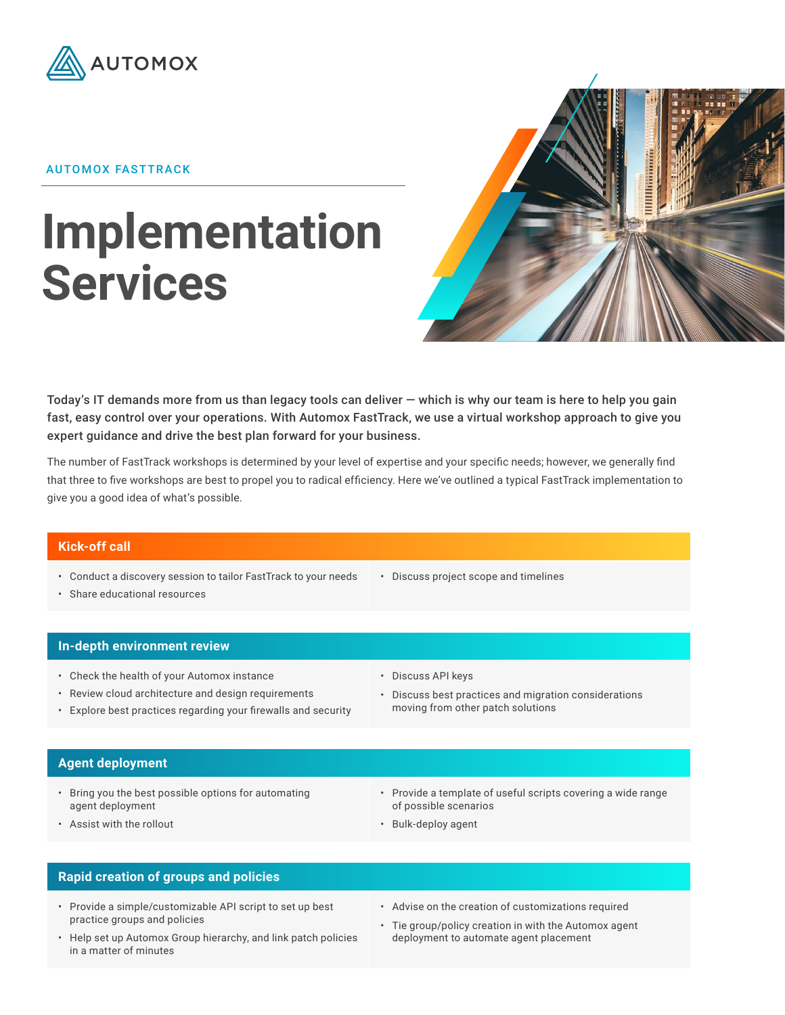

## AUTOMOX FASTTRACK

# **Implementation Services**



Today's IT demands more from us than legacy tools can deliver — which is why our team is here to help you gain fast, easy control over your operations. With Automox FastTrack, we use a virtual workshop approach to give you expert guidance and drive the best plan forward for your business.

The number of FastTrack workshops is determined by your level of expertise and your specific needs; however, we generally find that three to five workshops are best to propel you to radical efficiency. Here we've outlined a typical FastTrack implementation to give you a good idea of what's possible.

## **Kick-off call**

- Conduct a discovery session to tailor FastTrack to your needs
- Share educational resources

• Discuss project scope and timelines

#### **In-depth environment review**

- Check the health of your Automox instance
- Review cloud architecture and design requirements
- Explore best practices regarding your firewalls and security

#### • Discuss API keys

• Discuss best practices and migration considerations moving from other patch solutions

#### **Agent deployment**

- Bring you the best possible options for automating agent deployment
- Provide a template of useful scripts covering a wide range of possible scenarios

• Assist with the rollout

• Bulk-deploy agent

# **Rapid creation of groups and policies**

- Provide a simple/customizable API script to set up best practice groups and policies
- Advise on the creation of customizations required
- Help set up Automox Group hierarchy, and link patch policies in a matter of minutes
- Tie group/policy creation in with the Automox agent deployment to automate agent placement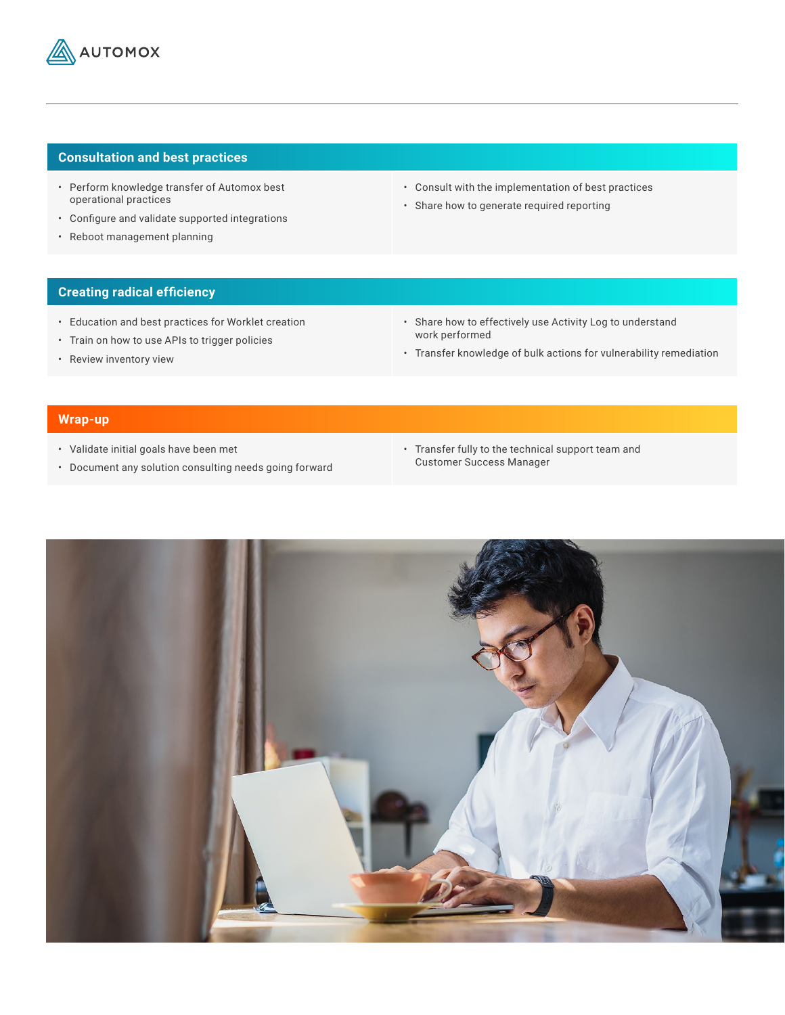

# **Consultation and best practices**

- Perform knowledge transfer of Automox best operational practices
- Configure and validate supported integrations
- Reboot management planning
- Consult with the implementation of best practices
- Share how to generate required reporting

# **Creating radical efficiency**

- Education and best practices for Worklet creation
- Train on how to use APIs to trigger policies
- Review inventory view
- Share how to effectively use Activity Log to understand work performed
- Transfer knowledge of bulk actions for vulnerability remediation

# **Wrap-up**

- Validate initial goals have been met
- Document any solution consulting needs going forward
- Transfer fully to the technical support team and Customer Success Manager